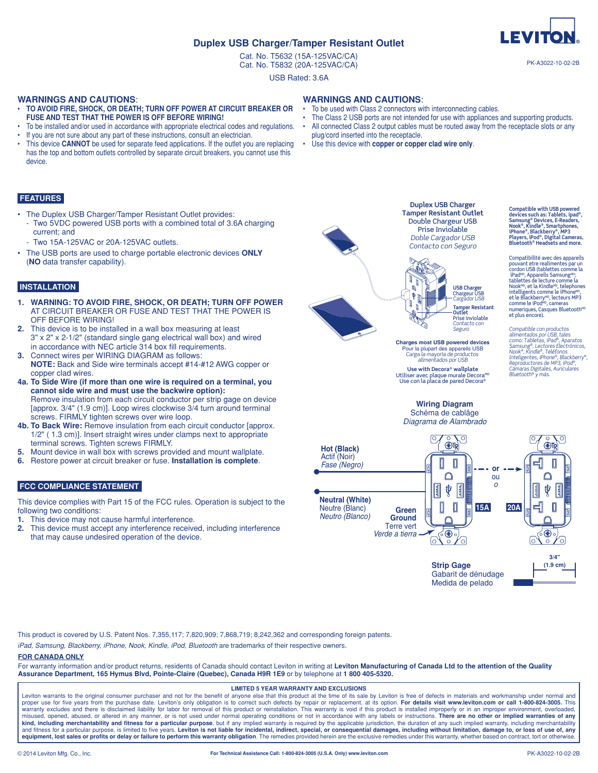# **Duplex USB Charger/Tamper Resistant Outlet**

Cat. No. T5632 (15A-125VAC/CA) Cat. No. T5832 (20A-125VAC/CA)

USB Rated: 3.6A

### **WARNINGS AND CAUTIONS**:

- **TO AVOID FIRE, SHOCK, OR DEATH; TURN OFF POWER AT CIRCUIT BREAKER OR FUSE AND TEST THAT THE POWER IS OFF BEFORE WIRING!**
- To be installed and/or used in accordance with appropriate electrical codes and regulations.
- If you are not sure about any part of these instructions, consult an electrician.
- This device **CANNOT** be used for separate feed applications. If the outlet you are replacing has the top and bottom outlets controlled by separate circuit breakers, you cannot use this device.

# **FEATURES**

- The Duplex USB Charger/Tamper Resistant Outlet provides:
- Two 5VDC powered USB ports with a combined total of 3.6A charging current; and
- Two 15A-125VAC or 20A-125VAC outlets.
- The USB ports are used to charge portable electronic devices **ONLY** (**NO** data transfer capability).

# **INSTALLATION**

- **1. WARNING: TO AVOID FIRE, SHOCK, OR DEATH; TURN OFF POWER** AT CIRCUIT BREAKER OR FUSE AND TEST THAT THE POWER IS OFF BEFORE WIRING!
- **2.** This device is to be installed in a wall box measuring at least 3" x 2" x 2-1/2" (standard single gang electrical wall box) and wired in accordance with NEC article 314 box fill requirements.
- **3.** Connect wires per WIRING DIAGRAM as follows: **NOTE:** Back and Side wire terminals accept #14-#12 AWG copper or copper clad wires.
- **4a. To Side Wire (if more than one wire is required on a terminal, you cannot side wire and must use the backwire option):** Remove insulation from each circuit conductor per strip gage on device [approx. 3/4" (1.9 cm)]. Loop wires clockwise 3/4 turn around terminal screws. FIRMLY tighten screws over wire loop.
- **4b. To Back Wire:** Remove insulation from each circuit conductor [approx. 1/2" ( 1.3 cm)]. Insert straight wires under clamps next to appropriate terminal screws. Tighten screws FIRMLY.
- **5.** Mount device in wall box with screws provided and mount wallplate.
- **6.** Restore power at circuit breaker or fuse. **Installation is complete**.

# **FCC COMPLIANCE STATEMENT**

This device complies with Part 15 of the FCC rules. Operation is subject to the following two conditions:

- **1.** This device may not cause harmful interference.
- **2.** This device must accept any interference received, including interference that may cause undesired operation of the device.

**WARNINGS AND CAUTIONS**: To be used with Class 2 connectors with interconnecting cables.

- The Class 2 USB ports are not intended for use with appliances and supporting products.
- All connected Class 2 output cables must be routed away from the receptacle slots or any plug/cord inserted into the receptacle.
- Use this device with **copper or copper clad wire only**.



**Tamper Resistant Outlet** Double Chargeur USB Prise Inviolable *Doble Cargador USB Contacto con Seguro*

**Duplex USB Charger**



Prise inviolable *Contacto con Seguro* Compatible con productos<br>alimentados por USB, tales<br>como: Tabletas, iPad®, Aparatos<br>Samsung®, Lectores Electrónicos,<br>Nook®, Kindle®, Teléfonos<br>Inteligentes, iPhon®®, Blackberry®,<br>Reproductores de MP3, iPod®, numeriques, Casques Bluetooth<sup>мв</sup><br>et plus encore).

**Charges most USB powered devices** Pour la plupart des appareils USB *Carga la mayoría de productos alimentados por USB*

**Use with Decora® wallplate** Utiliser avec plaque murale Decora<sup>мо</sup><br>© Use con la placa de pared Decora

#### **Wiring Diagram** Schéma de cablâge *Diagrama de Alambrado*



Gabarit de dénudage Medida de pelado

This product is covered by U.S. Patent Nos. 7,355,117; 7,820,909; 7,868,719; 8,242,362 and corresponding foreign patents.

*iPad, Samsung, Blackberry, iPhone, Nook, Kindle, iPod*, *Bluetooth* are trademarks of their respective owners.

# **FOR CANADA ONLY**

For warranty information and/or product returns, residents of Canada should contact Leviton in writing at Leviton Manufacturing of Canada Ltd to the attention of the Quality **Assurance Department, 165 Hymus Blvd, Pointe-Claire (Quebec), Canada H9R 1E9** or by telephone at **1 800 405-5320.**

#### **LIMITED 5 YEAR WARRANTY AND EXCLUSIONS**

Leviton warrants to the original consumer purchaser and not for the benefit of anyone else that this product at the time of its sale by Leviton is free of defects in materials and workmanship under normal and proper use for five years from the purchase date. Leviton's only obligation is to correct such defects by repair or replacement, at its option. **For details visit www.leviton.com or call 1-800-824-3005.** This<br>warranty excl misused, opened, abused, or altered in any manner, or is not used under normal operating conditions or not in accordance with any labels or instructions. **There are no other or implied warranties of any**  kind, including merchantability and fitness for a particular purpose, but if any implied warranty is required by the applicable jurisdiction, the duration of any such implied warranty, including merchantability<br>and fitness

#### **For Technical Assistance Call: 1-800-824-3005 (U.S.A. Only) www.leviton.com**



**LEVITO** 

**Compatible with USB powered devices such as: Tablets, ipad®, Samsung® Devices, E-Readers, Nook®, Kindle®, Smartphones, iPhone®, Blackberry®, MP3 Players, iPod®, Digital Cameras, Bluetooth® Headsets and more.** 

Compatibilité avec des appareils pouvant etre realimentes par un cordon USB (tablettes comme la iPad<sup>MD</sup>, Appareils Samsung<sup>MD</sup>;<br>tablettes de lecture comme la<br>Nook<sup>MD</sup>, et la Kindle<sup>MD</sup>, telephones intelligents comme le iPhone<sup>мо</sup>,<br>et le Blackberry<sup>мо</sup>, lecteurs MP3<br>comme le iPod<sup>мо</sup>, cameras

*Cámaras Digitales, Auriculares Bluetooth® y más.*

PK-A3022-10-02-2B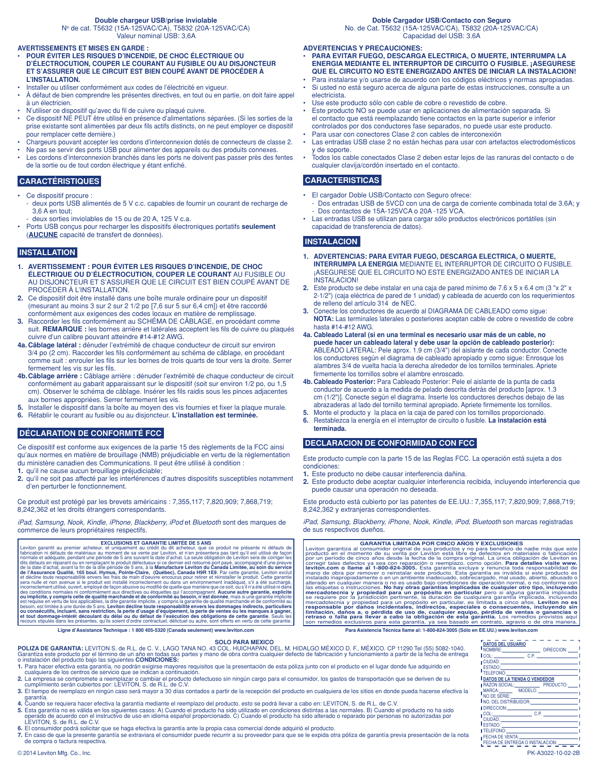#### **Double chargeur USB/prise inviolable**

No de cat. T5632 (15A-125VAC/CA), T5832 (20A-125VAC/CA) Valeur nominal USB: 3,6A

#### **AVERTISSEMENTS ET MISES EN GARDE :**

- **POUR ÉVITER LES RISQUES D'INCENDIE, DE CHOC ÉLECTRIQUE OU D'ÉLECTROCUTION, COUPER LE COURANT AU FUSIBLE OU AU DISJONCTEUR ET S'ASSURER QUE LE CIRCUIT EST BIEN COUPÉ AVANT DE PROCÉDER À L'INSTALLATION.**
- Installer ou utiliser conformément aux codes de l'électricité en vigueur.
- À défaut de bien comprendre les présentes directives, en tout ou en partie, on doit faire appel à un électricien.
- N'utiliser ce dispositif qu'avec du fil de cuivre ou plaqué cuivre.
- Ce dispositif NE PEUT être utilisé en présence d'alimentations séparées. (Si les sorties de la prise existante sont alimentées par deux fils actifs distincts, on ne peut employer ce dispositif pour remplacer cette dernière.)
- Chargeurs pouvant accepter les cordons d'interconnexion dotés de connecteurs de classe 2.
- Ne pas se servir des ports USB pour alimenter des appareils ou des produits connexes.
- Les cordons d'interconnexion branchés dans les ports ne doivent pas passer près des fentes de la sortie ou de tout cordon électrique y étant enfiché.

#### **CARACTÉRISTIQUES**

- Ce dispositif procure :
- deux ports USB alimentés de 5 V c.c. capables de fournir un courant de recharge de 3,6 A en tout;
- deux sorties inviolables de 15 ou de 20 A, 125 V c.a.
- Ports USB conçus pour recharger les dispositifs électroniques portatifs **seulement** (**AUCUNE** capacité de transfert de données).

# **INSTALLATION**

- **1. AVERTISSEMENT : POUR ÉVITER LES RISQUES D'INCENDIE, DE CHOC ÉLECTRIQUE OU D'ÉLECTROCUTION, COUPER LE COURANT** AU FUSIBLE OU AU DISJONCTEUR ET S'ASSURER QUE LE CIRCUIT EST BIEN COUPÉ AVANT DE PROCÉDER À L'INSTALLATION.
- **2.** Ce dispositif doit être installé dans une boîte murale ordinaire pour un dispositif (mesurant au moins 3 sur 2 sur 2 1/2 po [7,6 sur 5 sur 6,4 cm]) et être raccordé conformément aux exigences des codes locaux en matière de remplissage.
- **3.** Raccorder les fils conformément au SCHÉMA DE CÂBLAGE, en procédant comme suit. **REMARQUE :** les bornes arrière et latérales acceptent les fils de cuivre ou plaqués cuivre d'un calibre pouvant atteindre #14-#12 AWG.
- **4a. Câblage latéral :** dénuder l'extrémité de chaque conducteur de circuit sur environ 3/4 po (2 cm). Raccorder les fils conformément au schéma de câblage, en procédant comme suit : enrouler les fils sur les bornes de trois quarts de tour vers la droite. Serrer fermement les vis sur les fils.
- **4b.Câblage arrière :** Câblage arrière : dénuder l'extrémité de chaque conducteur de circuit conformément au gabarit apparaissant sur le dispositif (soit sur environ 1/2 po, ou 1,5 cm). Observer le schéma de câblage. Insérer les fils raidis sous les pinces adjacentes aux bornes appropriées. Serrer fermement les vis.
- **5.** Installer le dispositif dans la boîte au moyen des vis fournies et fixer la plaque murale.
- **6.** Rétablir le courant au fusible ou au disjoncteur. **L'installation est terminée.**

# **DÉCLARATION DE CONFORMITÉ FCC**

Ce dispositif est conforme aux exigences de la partie 15 des règlements de la FCC ainsi qu'aux normes en matière de brouillage (NMB) préjudiciable en vertu de la réglementation du ministère canadien des Communications. Il peut être utilisé à condition :

- **1.** qu'il ne cause aucun brouillage préjudiciable;
- **2.** qu'il ne soit pas affecté par les interférences d'autres dispositifs susceptibles notamment d'en perturber le fonctionnement.

Ce produit est protégé par les brevets américains : 7,355,117; 7,820,909; 7,868,719; 8,242,362 et les droits étrangers correspondants.

*iPad, Samsung, Nook, Kindle, iPhone, Blackberry, iPod et Bluetooth sont des marques de* commerce de leurs propriétaires respectifs.

Leviton garantit au premier acheteur, et CLUSIONS ET GARANTIE LIMITÉE DE 5 ANS<br>Leviton garantit au premier acheteur, et uniquement au crédit du dit acheteur, que ce produit ne présente ni détauts de<br>normale et adéquate, pe et tout dommage-intérêt découlant du délai ou du défaut de l'exécution des obligations de cette garantie. Seuls les<br>recours stipulés dans les présentes, qu'ils soient d'ordre contractuel, délictuel ou autre, sont offerts e

**Ligne d'Assistance Technique : 1 800 405-5320 (Canada seulement) www.leviton.com Para Asistencia Técnica llame al: 1-800-824-3005 (Sólo en EE.UU.) www.leviton.com**

No. de Cat. T5632 (15A-125VAC/CA), T5832 (20A-125VAC/CA) Capacidad del USB: 3.6A

#### **ADVERTENCIAS Y PRECAUCIONES:**

- **PARA EVITAR FUEGO, DESCARGA ELECTRICA, O MUERTE, INTERRUMPA LA ENERGIA MEDIANTE EL INTERRUPTOR DE CIRCUITO O FUSIBLE. ¡ASEGURESE QUE EL CIRCUITO NO ESTE ENERGIZADO ANTES DE INICIAR LA INSTALACION!**
- Para instalarse y/o usarse de acuerdo con los códigos eléctricos y normas apropiadas. • Si usted no está seguro acerca de alguna parte de estas instrucciones, consulte a un electricista.
- Use este producto sólo con cable de cobre o revestido de cobre.
- Este producto NO se puede usar en aplicaciones de alimentación separada. Si el contacto que está reemplazando tiene contactos en la parte superior e inferior controlados por dos conductores fase separados, no puede usar este producto.
- Para usar con conectores Clase 2 con cables de interconexión
- Las entradas USB clase 2 no están hechas para usar con artefactos electrodomésticos y de soporte.
- Todos los cable conectados Clase 2 deben estar lejos de las ranuras del contacto o de cualquier clavija/cordón insertado en el contacto.

#### **CARACTERISTICAS**

- El cargador Doble USB/Contacto con Seguro ofrece:
- Dos entradas USB de 5VCD con una de carga de corriente combinada total de 3.6A; y Dos contactos de 15A-125VCA o 20A -125 VCA.
- Las entradas USB se utilizan para cargar sólo productos electrónicos portátiles (sin capacidad de transferencia de datos).

# **INSTALACION**

- **1. ADVERTENCIAS: PARA EVITAR FUEGO, DESCARGA ELECTRICA, O MUERTE, INTERRUMPA LA ENERGIA** MEDIANTE EL INTERRUPTOR DE CIRCUITO O FUSIBLE. ¡ASEGURESE QUE EL CIRCUITO NO ESTE ENERGIZADO ANTES DE INICIAR LA INSTALACION!
- **2.** Este producto se debe instalar en una caja de pared mínimo de 7.6 x 5 x 6.4 cm (3 "x 2" x 2-1/2") (caja eléctrica de pared de 1 unidad) y cableada de acuerdo con los requerimientos de relleno del artículo 314 de NEC.
- **3.** Conecte los conductores de acuerdo al DIAGRAMA DE CABLEADO como sigue: **NOTA:** Las terminales laterales o posteriores aceptan cable de cobre o revestido de cobre hasta #14-#12 AWG.
- **4a. Cableado Lateral (si en una terminal es necesario usar más de un cable, no puede hacer un cableado lateral y debe usar la opción de cableado posterior):** ABLEADO LATERAL: Pele aprox. 1.9 cm (3/4") del aislante de cada conductor. Conecte los conductores según el diagrama de cableado apropiado y como sigue: Enrosque los alambres 3/4 de vuelta hacia la derecha alrededor de los tornillos terminales. Apriete firmemente los tornillos sobre el alambre enroscado.
- **4b. Cableado Posterior:** Para Cableado Posterior: Pele el aislante de la punta de cada conductor de acuerdo a la medida de pelado descrita detrás del producto [aprox. 1.3 cm (1/2")]. Conecte según el diagrama. Inserte los conductores derechos debajo de las abrazaderas al lado del tornillo terminal apropiado. Apriete firmemente los tornillos.
- **5.** Monte el producto y la placa en la caja de pared con los tornillos proporcionado.
- **6.** Restablezca la energía en el interruptor de circuito o fusible. **La instalación está terminada.**

# **DECLARACION DE CONFORMIDAD CON FCC**

Este producto cumple con la parte 15 de las Reglas FCC. La operación está sujeta a dos condiciones:

- **1.** Este producto no debe causar interferencia dañina.
- **2.** Este producto debe aceptar cualquier interferencia recibida, incluyendo interferencia que puede causar una operación no deseada.

Este producto está cubierto por las patentes de EE.UU.: 7,355,117; 7,820,909; 7,868,719; 8,242,362 y extranjeras correspondientes.

*iPad, Samsung, Blackberry, iPhone, Nook, Kindle, iPod*, *Bluetooth* son marcas registradas de sus respectivos dueños.

Leviton garantiza al consumido riginal MPOR CINCO AÑOS Y EXCLUSIONES<br>Leviton garantiza al consumidor original de sus productos y no para beneficio de nadie más que este producto e nel momento de su venta por Leviton está l

**SOLO PARA MEXICO**<br>**POLIZA DE GARANTIA:** LEVITON S. de R.L. de C. V., LAGO TANA NO. 43 COL. HUICHAPAN, DEL. M. HIDALGO MÉXICO D. F., MÉXICO. CP 11290 Tel (55) 5082-1040. Garantiza este producto por el término de un año en todas sus partes y mano de obra contra cualquier defecto de fabricación y funcionamiento a partir de la fecha de entrega<br>o instalación del producto bajo las siguientes **C** 

- 1. Para hacer efectiva esta garantía, no podrán exigirse mayores requisitos que la presentación de esta póliza junto con el producto en el lugar donde fue adquirido en<br>cualquiera de los centros de servicio que se indican a
- **2.** La empresa se compromete a reemplazar o cambiar el producto defectuoso sin ningún cargo para el consumidor, los gastos de transportación que se deriven de su<br>o cumplimiento serán cubiertos por: LEVITON, S. de R.L. de
- garantía. **4.** Cuando se requiera hacer efectiva la garantía mediante el reemplazo del producto, esto se podrá llevar a cabo en: LEVITON, S. de R.L. de C.V.
- 5. Esta garantía no es válida en los siguientes casos: A) Cuando el producto ha sido utilizado en condiciones distintas a las normales. B) Cuando el producto no ha sido<br>operado de acuerdo con el instructivo de uso en idiom
- **6.** El consumidor podrá solicitar que se haga efectiva la garantía ante la propia casa comercial donde adquirió el producto.

**7.** En caso de que la presente garantía se extraviara el consumidor puede recurrir a su proveedor para que se le expida otra póliza de garantía previa presentación de la nota de compra o factura respectiva.

**DATOS DEL USUARIO** NOMBRE: DIRECCION: COL: \_\_\_\_\_\_\_\_\_\_\_\_\_\_\_ C.P.<br>CIUDAD: \_\_\_\_\_\_\_\_\_\_\_ ESTADO: TELEFONO: **DATOS DE LA TIENDA O VENDEDOR** RAZON SOCIAL: PRODUCTO: MARCA: MODELO: NO DE SERIE: NO. DEL DISTRIBUIDOR: DIRECCION: COL:\_\_\_\_\_\_\_\_\_\_\_\_\_\_\_\_\_\_\_\_\_C.P.<br>CIUDAD: \_\_\_\_\_\_\_\_\_\_\_\_\_\_\_\_\_\_\_\_\_\_\_\_\_\_ ESTADO:

FECHA DE ENTREGA O INSTALACION:

TELEFONO: FECHA DE VENTA